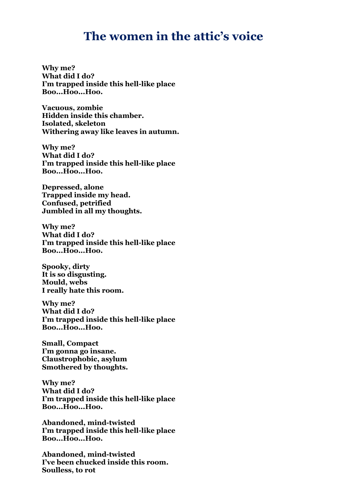## **The women in the attic's voice**

**Why me? What did I do? I'm trapped inside this hell-like place Boo...Hoo...Hoo.**

**Vacuous, zombie Hidden inside this chamber. Isolated, skeleton Withering away like leaves in autumn.**

**Why me? What did I do? I'm trapped inside this hell-like place Boo...Hoo...Hoo.**

**Depressed, alone Trapped inside my head. Confused, petrified Jumbled in all my thoughts.**

**Why me? What did I do? I'm trapped inside this hell-like place Boo...Hoo...Hoo.**

**Spooky, dirty It is so disgusting. Mould, webs I really hate this room.**

**Why me? What did I do? I'm trapped inside this hell-like place Boo...Hoo...Hoo.**

**Small, Compact I'm gonna go insane. Claustrophobic, asylum Smothered by thoughts.**

**Why me? What did I do? I'm trapped inside this hell-like place Boo...Hoo...Hoo.**

**Abandoned, mind-twisted I'm trapped inside this hell-like place Boo...Hoo...Hoo.**

**Abandoned, mind-twisted I've been chucked inside this room. Soulless, to rot**